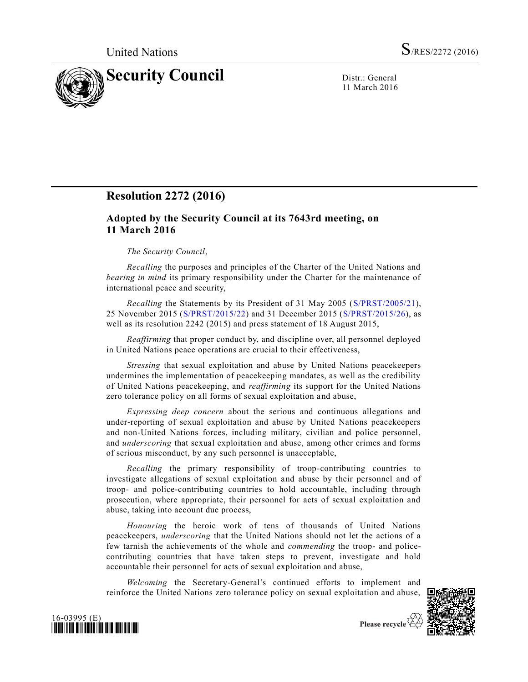

11 March 2016

## **Resolution 2272 (2016)**

## **Adopted by the Security Council at its 7643rd meeting, on 11 March 2016**

## *The Security Council*,

*Recalling* the purposes and principles of the Charter of the United Nations and *bearing in mind* its primary responsibility under the Charter for the maintenance of international peace and security,

*Recalling* the Statements by its President of 31 May 2005 [\(S/PRST/2005/21\)](http://undocs.org/S/PRST/2005/21), 25 November 2015 [\(S/PRST/2015/22\)](http://undocs.org/S/PRST/2015/22) and 31 December 2015 [\(S/PRST/2015/26\)](http://undocs.org/S/PRST/2015/26), as well as its resolution 2242 (2015) and press statement of 18 August 2015,

*Reaffirming* that proper conduct by, and discipline over, all personnel deployed in United Nations peace operations are crucial to their effectiveness,

*Stressing* that sexual exploitation and abuse by United Nations peacekeepers undermines the implementation of peacekeeping mandates, as well as the credibility of United Nations peacekeeping, and *reaffirming* its support for the United Nations zero tolerance policy on all forms of sexual exploitation and abuse,

*Expressing deep concern* about the serious and continuous allegations and under-reporting of sexual exploitation and abuse by United Nations peacekeepers and non-United Nations forces, including military, civilian and police personnel, and *underscoring* that sexual exploitation and abuse, among other crimes and forms of serious misconduct, by any such personnel is unacceptable,

*Recalling* the primary responsibility of troop-contributing countries to investigate allegations of sexual exploitation and abuse by their personnel and of troop- and police-contributing countries to hold accountable, including through prosecution, where appropriate, their personnel for acts of sexual exploitation and abuse, taking into account due process,

*Honouring* the heroic work of tens of thousands of United Nations peacekeepers, *underscoring* that the United Nations should not let the actions of a few tarnish the achievements of the whole and *commending* the troop- and policecontributing countries that have taken steps to prevent, investigate and hold accountable their personnel for acts of sexual exploitation and abuse,

*Welcoming* the Secretary-General's continued efforts to implement and reinforce the United Nations zero tolerance policy on sexual exploitation and abuse,





Please recycle  $\Diamond$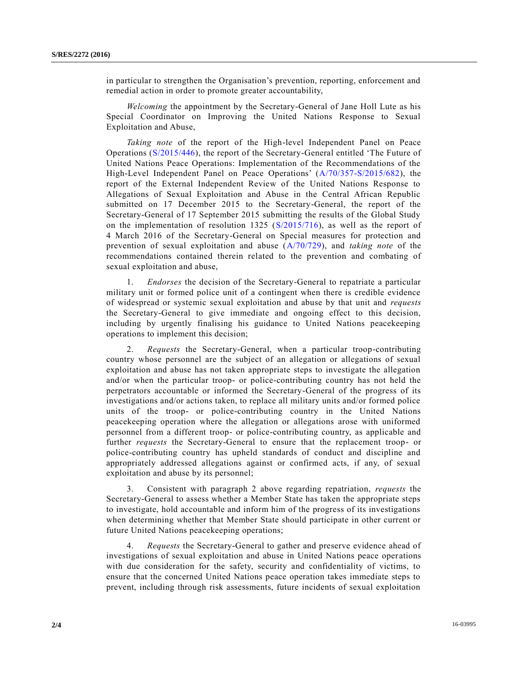in particular to strengthen the Organisation's prevention, reporting, enforcement and remedial action in order to promote greater accountability,

*Welcoming* the appointment by the Secretary-General of Jane Holl Lute as his Special Coordinator on Improving the United Nations Response to Sexual Exploitation and Abuse,

*Taking note* of the report of the High-level Independent Panel on Peace Operations [\(S/2015/446\)](http://undocs.org/S/2015/446), the report of the Secretary-General entitled 'The Future of United Nations Peace Operations: Implementation of the Recommendations of the High-Level Independent Panel on Peace Operations' [\(A/70/357-S/2015/682\)](http://undocs.org/A/70/357), the report of the External Independent Review of the United Nations Response to Allegations of Sexual Exploitation and Abuse in the Central African Republic submitted on 17 December 2015 to the Secretary-General, the report of the Secretary-General of 17 September 2015 submitting the results of the Global Study on the implementation of resolution  $1325$  ( $S/2015/716$ ), as well as the report of 4 March 2016 of the Secretary-General on Special measures for protection and prevention of sexual exploitation and abuse [\(A/70/729\)](http://undocs.org/A/70/729), and *taking note* of the recommendations contained therein related to the prevention and combating of sexual exploitation and abuse,

1. *Endorses* the decision of the Secretary-General to repatriate a particular military unit or formed police unit of a contingent when there is credible evidence of widespread or systemic sexual exploitation and abuse by that unit and *requests* the Secretary-General to give immediate and ongoing effect to this decision, including by urgently finalising his guidance to United Nations peacekeeping operations to implement this decision;

2. *Requests* the Secretary-General, when a particular troop-contributing country whose personnel are the subject of an allegation or allegations of sexual exploitation and abuse has not taken appropriate steps to investigate the allegation and/or when the particular troop- or police-contributing country has not held the perpetrators accountable or informed the Secretary-General of the progress of its investigations and/or actions taken, to replace all military units and/or formed police units of the troop- or police-contributing country in the United Nations peacekeeping operation where the allegation or allegations arose with uniformed personnel from a different troop- or police-contributing country, as applicable and further *requests* the Secretary-General to ensure that the replacement troop- or police-contributing country has upheld standards of conduct and discipline and appropriately addressed allegations against or confirmed acts, if any, of sexual exploitation and abuse by its personnel;

3. Consistent with paragraph 2 above regarding repatriation, *requests* the Secretary-General to assess whether a Member State has taken the appropriate steps to investigate, hold accountable and inform him of the progress of its investigations when determining whether that Member State should participate in other current or future United Nations peacekeeping operations;

4. *Requests* the Secretary-General to gather and preserve evidence ahead of investigations of sexual exploitation and abuse in United Nations peace oper ations with due consideration for the safety, security and confidentiality of victims, to ensure that the concerned United Nations peace operation takes immediate steps to prevent, including through risk assessments, future incidents of sexual exploitation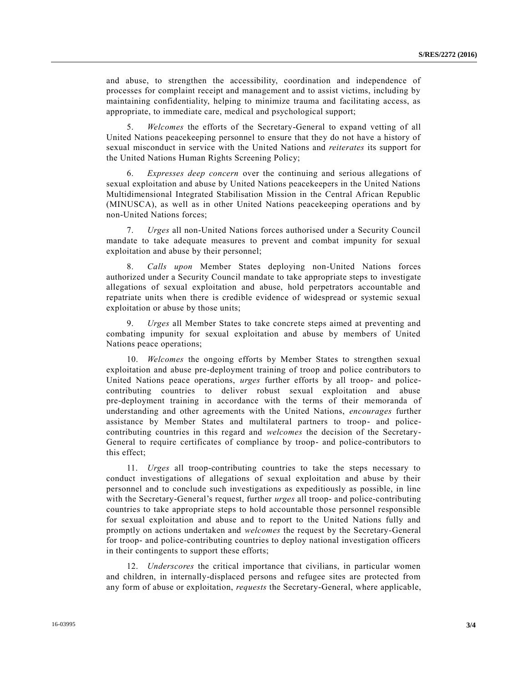and abuse, to strengthen the accessibility, coordination and independence of processes for complaint receipt and management and to assist victims, including by maintaining confidentiality, helping to minimize trauma and facilitating access, as appropriate, to immediate care, medical and psychological support;

5. *Welcomes* the efforts of the Secretary-General to expand vetting of all United Nations peacekeeping personnel to ensure that they do not have a history of sexual misconduct in service with the United Nations and *reiterates* its support for the United Nations Human Rights Screening Policy;

6. *Expresses deep concern* over the continuing and serious allegations of sexual exploitation and abuse by United Nations peacekeepers in the United Nations Multidimensional Integrated Stabilisation Mission in the Central African Republic (MINUSCA), as well as in other United Nations peacekeeping operations and by non-United Nations forces;

7. *Urges* all non-United Nations forces authorised under a Security Council mandate to take adequate measures to prevent and combat impunity for sexual exploitation and abuse by their personnel;

8. *Calls upon* Member States deploying non-United Nations forces authorized under a Security Council mandate to take appropriate steps to investigate allegations of sexual exploitation and abuse, hold perpetrators accountable and repatriate units when there is credible evidence of widespread or systemic sexual exploitation or abuse by those units;

9. *Urges* all Member States to take concrete steps aimed at preventing and combating impunity for sexual exploitation and abuse by members of United Nations peace operations;

10. *Welcomes* the ongoing efforts by Member States to strengthen sexual exploitation and abuse pre-deployment training of troop and police contributors to United Nations peace operations, *urges* further efforts by all troop- and policecontributing countries to deliver robust sexual exploitation and abuse pre-deployment training in accordance with the terms of their memoranda of understanding and other agreements with the United Nations, *encourages* further assistance by Member States and multilateral partners to troop- and policecontributing countries in this regard and *welcomes* the decision of the Secretary-General to require certificates of compliance by troop- and police-contributors to this effect;

11. *Urges* all troop-contributing countries to take the steps necessary to conduct investigations of allegations of sexual exploitation and abuse by their personnel and to conclude such investigations as expeditiously as possible, in line with the Secretary-General's request, further *urges* all troop- and police-contributing countries to take appropriate steps to hold accountable those personnel responsible for sexual exploitation and abuse and to report to the United Nations fully and promptly on actions undertaken and *welcomes* the request by the Secretary-General for troop- and police-contributing countries to deploy national investigation officers in their contingents to support these efforts;

12. *Underscores* the critical importance that civilians, in particular women and children, in internally-displaced persons and refugee sites are protected from any form of abuse or exploitation, *requests* the Secretary-General, where applicable,